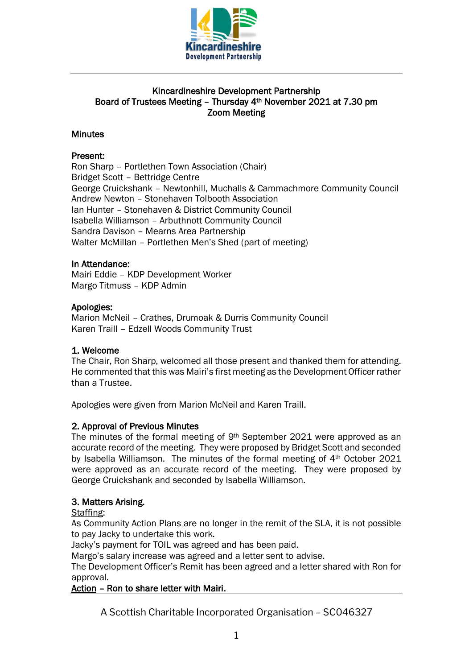

### Kincardineshire Development Partnership Board of Trustees Meeting – Thursday 4th November 2021 at 7.30 pm Zoom Meeting

### **Minutes**

### Present:

Ron Sharp – Portlethen Town Association (Chair) Bridget Scott – Bettridge Centre George Cruickshank – Newtonhill, Muchalls & Cammachmore Community Council Andrew Newton – Stonehaven Tolbooth Association Ian Hunter – Stonehaven & District Community Council Isabella Williamson – Arbuthnott Community Council Sandra Davison – Mearns Area Partnership Walter McMillan – Portlethen Men's Shed (part of meeting)

#### In Attendance:

Mairi Eddie – KDP Development Worker Margo Titmuss – KDP Admin

#### Apologies:

Marion McNeil – Crathes, Drumoak & Durris Community Council Karen Traill – Edzell Woods Community Trust

#### 1. Welcome

The Chair, Ron Sharp, welcomed all those present and thanked them for attending. He commented that this was Mairi's first meeting as the Development Officer rather than a Trustee.

Apologies were given from Marion McNeil and Karen Traill.

#### 2. Approval of Previous Minutes

The minutes of the formal meeting of  $9<sup>th</sup>$  September 2021 were approved as an accurate record of the meeting. They were proposed by Bridget Scott and seconded by Isabella Williamson. The minutes of the formal meeting of 4<sup>th</sup> October 2021 were approved as an accurate record of the meeting. They were proposed by George Cruickshank and seconded by Isabella Williamson.

#### 3. Matters Arising.

Staffing:

As Community Action Plans are no longer in the remit of the SLA, it is not possible to pay Jacky to undertake this work.

Jacky's payment for TOIL was agreed and has been paid.

Margo's salary increase was agreed and a letter sent to advise.

The Development Officer's Remit has been agreed and a letter shared with Ron for approval.

### Action – Ron to share letter with Mairi.

A Scottish Charitable Incorporated Organisation – SC046327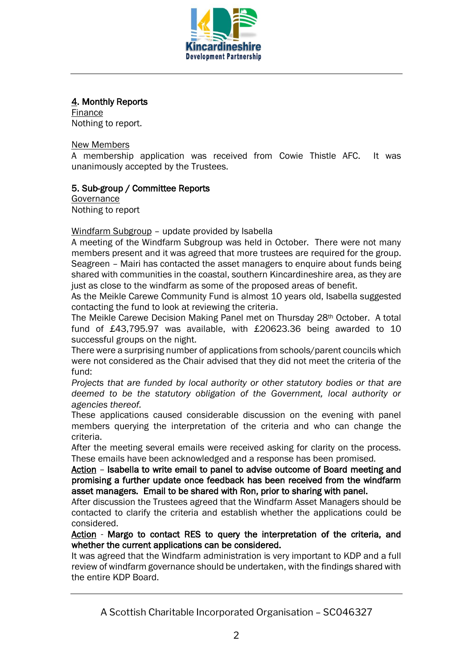

### 4. Monthly Reports

Finance Nothing to report.

### New Members

A membership application was received from Cowie Thistle AFC. It was unanimously accepted by the Trustees.

### 5. Sub-group / Committee Reports

**Governance** Nothing to report

Windfarm Subgroup – update provided by Isabella

A meeting of the Windfarm Subgroup was held in October. There were not many members present and it was agreed that more trustees are required for the group. Seagreen – Mairi has contacted the asset managers to enquire about funds being shared with communities in the coastal, southern Kincardineshire area, as they are just as close to the windfarm as some of the proposed areas of benefit.

As the Meikle Carewe Community Fund is almost 10 years old, Isabella suggested contacting the fund to look at reviewing the criteria.

The Meikle Carewe Decision Making Panel met on Thursday 28th October. A total fund of £43,795.97 was available, with £20623.36 being awarded to 10 successful groups on the night.

There were a surprising number of applications from schools/parent councils which were not considered as the Chair advised that they did not meet the criteria of the fund:

*Projects that are funded by local authority or other statutory bodies or that are deemed to be the statutory obligation of the Government, local authority or agencies thereof.*

These applications caused considerable discussion on the evening with panel members querying the interpretation of the criteria and who can change the criteria.

After the meeting several emails were received asking for clarity on the process. These emails have been acknowledged and a response has been promised.

Action – Isabella to write email to panel to advise outcome of Board meeting and promising a further update once feedback has been received from the windfarm asset managers. Email to be shared with Ron, prior to sharing with panel.

After discussion the Trustees agreed that the Windfarm Asset Managers should be contacted to clarify the criteria and establish whether the applications could be considered.

Action - Margo to contact RES to query the interpretation of the criteria, and whether the current applications can be considered.

It was agreed that the Windfarm administration is very important to KDP and a full review of windfarm governance should be undertaken, with the findings shared with the entire KDP Board.

A Scottish Charitable Incorporated Organisation – SC046327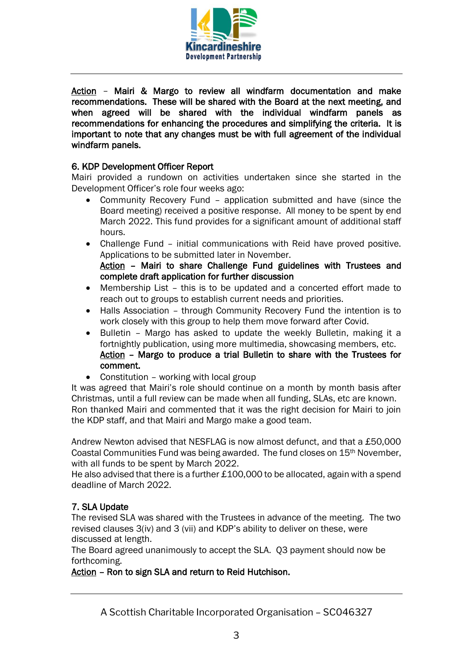

Action – Mairi & Margo to review all windfarm documentation and make recommendations. These will be shared with the Board at the next meeting, and when agreed will be shared with the individual windfarm panels as recommendations for enhancing the procedures and simplifying the criteria. It is important to note that any changes must be with full agreement of the individual windfarm panels.

### 6. KDP Development Officer Report

Mairi provided a rundown on activities undertaken since she started in the Development Officer's role four weeks ago:

- Community Recovery Fund application submitted and have (since the Board meeting) received a positive response. All money to be spent by end March 2022. This fund provides for a significant amount of additional staff hours.
- Challenge Fund initial communications with Reid have proved positive. Applications to be submitted later in November.

Action – Mairi to share Challenge Fund guidelines with Trustees and complete draft application for further discussion

- Membership List this is to be updated and a concerted effort made to reach out to groups to establish current needs and priorities.
- Halls Association through Community Recovery Fund the intention is to work closely with this group to help them move forward after Covid.
- Bulletin Margo has asked to update the weekly Bulletin, making it a fortnightly publication, using more multimedia, showcasing members, etc. Action – Margo to produce a trial Bulletin to share with the Trustees for comment.
- Constitution working with local group

It was agreed that Mairi's role should continue on a month by month basis after Christmas, until a full review can be made when all funding, SLAs, etc are known. Ron thanked Mairi and commented that it was the right decision for Mairi to join the KDP staff, and that Mairi and Margo make a good team.

Andrew Newton advised that NESFLAG is now almost defunct, and that a £50,000 Coastal Communities Fund was being awarded. The fund closes on 15th November, with all funds to be spent by March 2022.

He also advised that there is a further £100,000 to be allocated, again with a spend deadline of March 2022.

# 7. SLA Update

The revised SLA was shared with the Trustees in advance of the meeting. The two revised clauses 3(iv) and 3 (vii) and KDP's ability to deliver on these, were discussed at length.

The Board agreed unanimously to accept the SLA. Q3 payment should now be forthcoming.

## Action – Ron to sign SLA and return to Reid Hutchison.

A Scottish Charitable Incorporated Organisation – SC046327